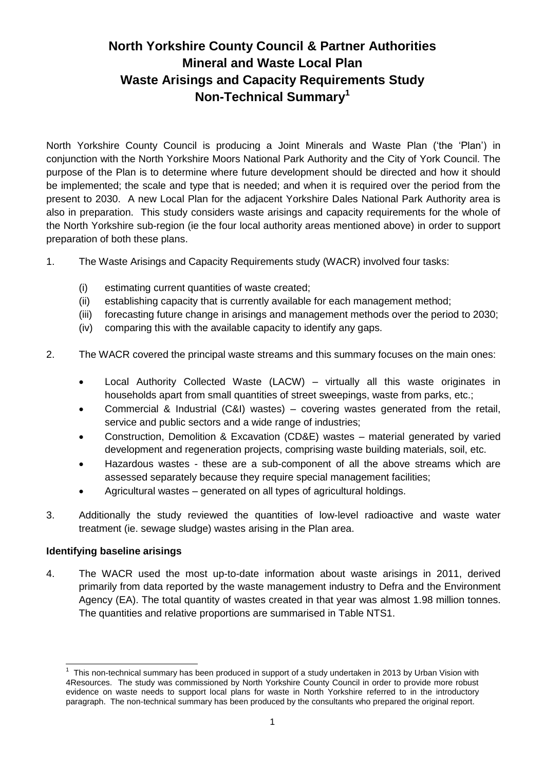# **North Yorkshire County Council & Partner Authorities Mineral and Waste Local Plan Waste Arisings and Capacity Requirements Study Non-Technical Summary<sup>1</sup>**

North Yorkshire County Council is producing a Joint Minerals and Waste Plan ('the 'Plan') in conjunction with the North Yorkshire Moors National Park Authority and the City of York Council. The purpose of the Plan is to determine where future development should be directed and how it should be implemented; the scale and type that is needed; and when it is required over the period from the present to 2030. A new Local Plan for the adjacent Yorkshire Dales National Park Authority area is also in preparation. This study considers waste arisings and capacity requirements for the whole of the North Yorkshire sub-region (ie the four local authority areas mentioned above) in order to support preparation of both these plans.

- 1. The Waste Arisings and Capacity Requirements study (WACR) involved four tasks:
	- (i) estimating current quantities of waste created;
	- (ii) establishing capacity that is currently available for each management method;
	- (iii) forecasting future change in arisings and management methods over the period to 2030;
	- (iv) comparing this with the available capacity to identify any gaps.
- 2. The WACR covered the principal waste streams and this summary focuses on the main ones:
	- Local Authority Collected Waste (LACW) virtually all this waste originates in households apart from small quantities of street sweepings, waste from parks, etc.;
	- Commercial & Industrial (C&I) wastes) covering wastes generated from the retail, service and public sectors and a wide range of industries;
	- Construction, Demolition & Excavation (CD&E) wastes material generated by varied development and regeneration projects, comprising waste building materials, soil, etc.
	- Hazardous wastes these are a sub-component of all the above streams which are assessed separately because they require special management facilities;
	- Agricultural wastes generated on all types of agricultural holdings.
- 3. Additionally the study reviewed the quantities of low-level radioactive and waste water treatment (ie. sewage sludge) wastes arising in the Plan area.

#### **Identifying baseline arisings**

4. The WACR used the most up-to-date information about waste arisings in 2011, derived primarily from data reported by the waste management industry to Defra and the Environment Agency (EA). The total quantity of wastes created in that year was almost 1.98 million tonnes. The quantities and relative proportions are summarised in Table NTS1.

<sup>1</sup> This non-technical summary has been produced in support of a study undertaken in 2013 by Urban Vision with 4Resources. The study was commissioned by North Yorkshire County Council in order to provide more robust evidence on waste needs to support local plans for waste in North Yorkshire referred to in the introductory paragraph. The non-technical summary has been produced by the consultants who prepared the original report.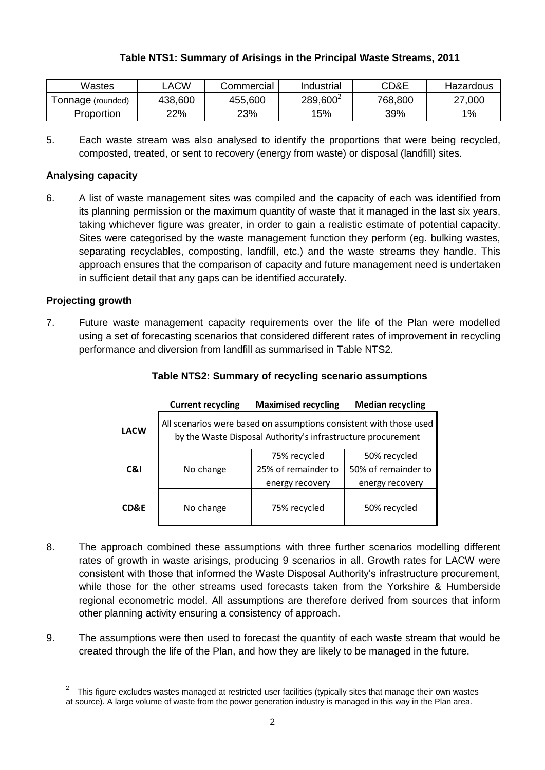# **Table NTS1: Summary of Arisings in the Principal Waste Streams, 2011**

| Wastes            | _ACW    | Commercial | Industrial           | CD&E    | Hazardous |
|-------------------|---------|------------|----------------------|---------|-----------|
| Tonnage (rounded) | 438,600 | 455,600    | 289,600 <sup>2</sup> | 768,800 | 27,000    |
| Proportion        | 22%     | 23%        | 15%                  | 39%     | $1\%$     |

5. Each waste stream was also analysed to identify the proportions that were being recycled, composted, treated, or sent to recovery (energy from waste) or disposal (landfill) sites.

## **Analysing capacity**

6. A list of waste management sites was compiled and the capacity of each was identified from its planning permission or the maximum quantity of waste that it managed in the last six years, taking whichever figure was greater, in order to gain a realistic estimate of potential capacity. Sites were categorised by the waste management function they perform (eg. bulking wastes, separating recyclables, composting, landfill, etc.) and the waste streams they handle. This approach ensures that the comparison of capacity and future management need is undertaken in sufficient detail that any gaps can be identified accurately.

## **Projecting growth**

7. Future waste management capacity requirements over the life of the Plan were modelled using a set of forecasting scenarios that considered different rates of improvement in recycling performance and diversion from landfill as summarised in Table NTS2.

|             | <b>Current recycling</b>                                                                                                           | <b>Maximised recycling</b>                             | <b>Median recycling</b>                                |  |  |  |  |
|-------------|------------------------------------------------------------------------------------------------------------------------------------|--------------------------------------------------------|--------------------------------------------------------|--|--|--|--|
| <b>LACW</b> | All scenarios were based on assumptions consistent with those used<br>by the Waste Disposal Authority's infrastructure procurement |                                                        |                                                        |  |  |  |  |
| C&I         | No change                                                                                                                          | 75% recycled<br>25% of remainder to<br>energy recovery | 50% recycled<br>50% of remainder to<br>energy recovery |  |  |  |  |
| CD&E        | No change                                                                                                                          | 75% recycled                                           | 50% recycled                                           |  |  |  |  |

#### **Table NTS2: Summary of recycling scenario assumptions**

- 8. The approach combined these assumptions with three further scenarios modelling different rates of growth in waste arisings, producing 9 scenarios in all. Growth rates for LACW were consistent with those that informed the Waste Disposal Authority's infrastructure procurement, while those for the other streams used forecasts taken from the Yorkshire & Humberside regional econometric model. All assumptions are therefore derived from sources that inform other planning activity ensuring a consistency of approach.
- 9. The assumptions were then used to forecast the quantity of each waste stream that would be created through the life of the Plan, and how they are likely to be managed in the future.

 $\frac{1}{2}$  This figure excludes wastes managed at restricted user facilities (typically sites that manage their own wastes at source). A large volume of waste from the power generation industry is managed in this way in the Plan area.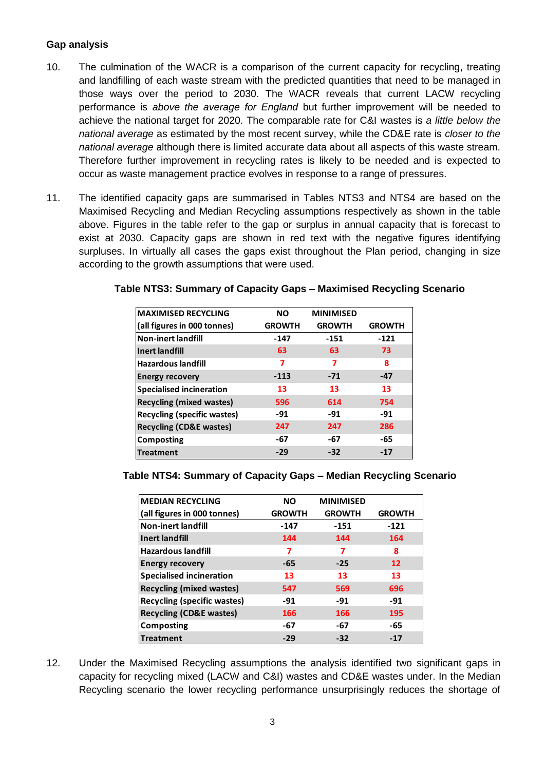## **Gap analysis**

- 10. The culmination of the WACR is a comparison of the current capacity for recycling, treating and landfilling of each waste stream with the predicted quantities that need to be managed in those ways over the period to 2030. The WACR reveals that current LACW recycling performance is *above the average for England* but further improvement will be needed to achieve the national target for 2020. The comparable rate for C&I wastes is *a little below the national average* as estimated by the most recent survey, while the CD&E rate is *closer to the national average* although there is limited accurate data about all aspects of this waste stream. Therefore further improvement in recycling rates is likely to be needed and is expected to occur as waste management practice evolves in response to a range of pressures.
- 11. The identified capacity gaps are summarised in Tables NTS3 and NTS4 are based on the Maximised Recycling and Median Recycling assumptions respectively as shown in the table above. Figures in the table refer to the gap or surplus in annual capacity that is forecast to exist at 2030. Capacity gaps are shown in red text with the negative figures identifying surpluses. In virtually all cases the gaps exist throughout the Plan period, changing in size according to the growth assumptions that were used.

#### **Table NTS3: Summary of Capacity Gaps – Maximised Recycling Scenario**

| <b>MAXIMISED RECYCLING</b>         | <b>NO</b>     | <b>MINIMISED</b> |               |
|------------------------------------|---------------|------------------|---------------|
| (all figures in 000 tonnes)        | <b>GROWTH</b> | <b>GROWTH</b>    | <b>GROWTH</b> |
| <b>Non-inert landfill</b>          | $-147$        | $-151$           | $-121$        |
| <b>Inert landfill</b>              | 63            | 63               | 73            |
| <b>Hazardous landfill</b>          | 7             | 7                | 8             |
| <b>Energy recovery</b>             | $-113$        | $-71$            | $-47$         |
| <b>Specialised incineration</b>    | 13            | 13               | 13            |
| <b>Recycling (mixed wastes)</b>    | 596           | 614              | 754           |
| Recycling (specific wastes)        | -91           | $-91$            | $-91$         |
| <b>Recycling (CD&amp;E wastes)</b> | 247           | 247              | 286           |
| Composting                         | -67           | -67              | -65           |
| <b>Treatment</b>                   | $-29$         | $-32$            | $-17$         |

#### **Table NTS4: Summary of Capacity Gaps – Median Recycling Scenario**

| <b>MEDIAN RECYCLING</b>            | <b>NO</b>     | <b>MINIMISED</b> |               |
|------------------------------------|---------------|------------------|---------------|
| (all figures in 000 tonnes)        | <b>GROWTH</b> | <b>GROWTH</b>    | <b>GROWTH</b> |
| <b>Non-inert landfill</b>          | -147          | -151             | $-121$        |
| <b>Inert landfill</b>              | 144           | 144              | 164           |
| <b>Hazardous landfill</b>          | 7             | 7                | 8             |
| <b>Energy recovery</b>             | $-65$         | $-25$            | 12            |
| <b>Specialised incineration</b>    | 13            | 13               | 13            |
| <b>Recycling (mixed wastes)</b>    | 547           | 569              | 696           |
| <b>Recycling (specific wastes)</b> | $-91$         | $-91$            | $-91$         |
| <b>Recycling (CD&amp;E wastes)</b> | 166           | 166              | 195           |
| <b>Composting</b>                  | -67           | -67              | -65           |
| <b>Treatment</b>                   | $-29$         | $-32$            | $-17$         |

12. Under the Maximised Recycling assumptions the analysis identified two significant gaps in capacity for recycling mixed (LACW and C&I) wastes and CD&E wastes under. In the Median Recycling scenario the lower recycling performance unsurprisingly reduces the shortage of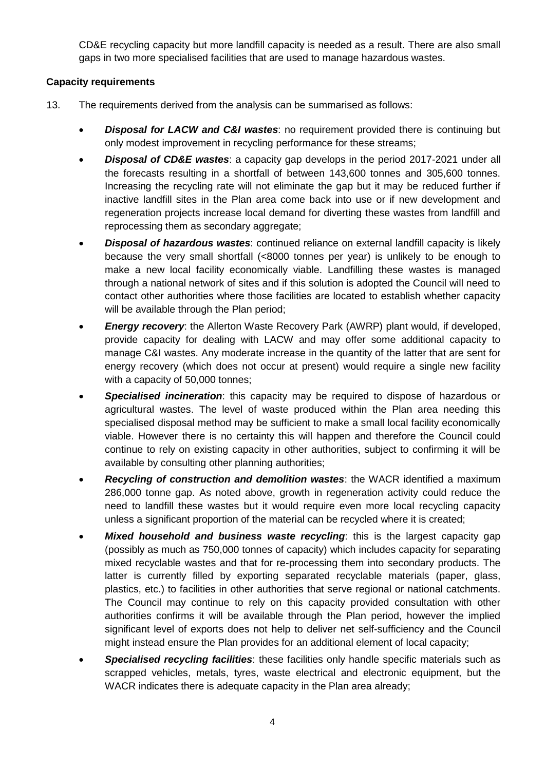CD&E recycling capacity but more landfill capacity is needed as a result. There are also small gaps in two more specialised facilities that are used to manage hazardous wastes.

## **Capacity requirements**

- 13. The requirements derived from the analysis can be summarised as follows:
	- *Disposal for LACW and C&I wastes*: no requirement provided there is continuing but only modest improvement in recycling performance for these streams;
	- *Disposal of CD&E wastes*: a capacity gap develops in the period 2017-2021 under all the forecasts resulting in a shortfall of between 143,600 tonnes and 305,600 tonnes. Increasing the recycling rate will not eliminate the gap but it may be reduced further if inactive landfill sites in the Plan area come back into use or if new development and regeneration projects increase local demand for diverting these wastes from landfill and reprocessing them as secondary aggregate;
	- *Disposal of hazardous wastes*: continued reliance on external landfill capacity is likely because the very small shortfall (<8000 tonnes per year) is unlikely to be enough to make a new local facility economically viable. Landfilling these wastes is managed through a national network of sites and if this solution is adopted the Council will need to contact other authorities where those facilities are located to establish whether capacity will be available through the Plan period;
	- *Energy recovery*: the Allerton Waste Recovery Park (AWRP) plant would, if developed, provide capacity for dealing with LACW and may offer some additional capacity to manage C&I wastes. Any moderate increase in the quantity of the latter that are sent for energy recovery (which does not occur at present) would require a single new facility with a capacity of 50,000 tonnes;
	- *Specialised incineration*: this capacity may be required to dispose of hazardous or agricultural wastes. The level of waste produced within the Plan area needing this specialised disposal method may be sufficient to make a small local facility economically viable. However there is no certainty this will happen and therefore the Council could continue to rely on existing capacity in other authorities, subject to confirming it will be available by consulting other planning authorities;
	- *Recycling of construction and demolition wastes*: the WACR identified a maximum 286,000 tonne gap. As noted above, growth in regeneration activity could reduce the need to landfill these wastes but it would require even more local recycling capacity unless a significant proportion of the material can be recycled where it is created;
	- *Mixed household and business waste recycling*: this is the largest capacity gap (possibly as much as 750,000 tonnes of capacity) which includes capacity for separating mixed recyclable wastes and that for re-processing them into secondary products. The latter is currently filled by exporting separated recyclable materials (paper, glass, plastics, etc.) to facilities in other authorities that serve regional or national catchments. The Council may continue to rely on this capacity provided consultation with other authorities confirms it will be available through the Plan period, however the implied significant level of exports does not help to deliver net self-sufficiency and the Council might instead ensure the Plan provides for an additional element of local capacity;
	- *Specialised recycling facilities*: these facilities only handle specific materials such as scrapped vehicles, metals, tyres, waste electrical and electronic equipment, but the WACR indicates there is adequate capacity in the Plan area already;